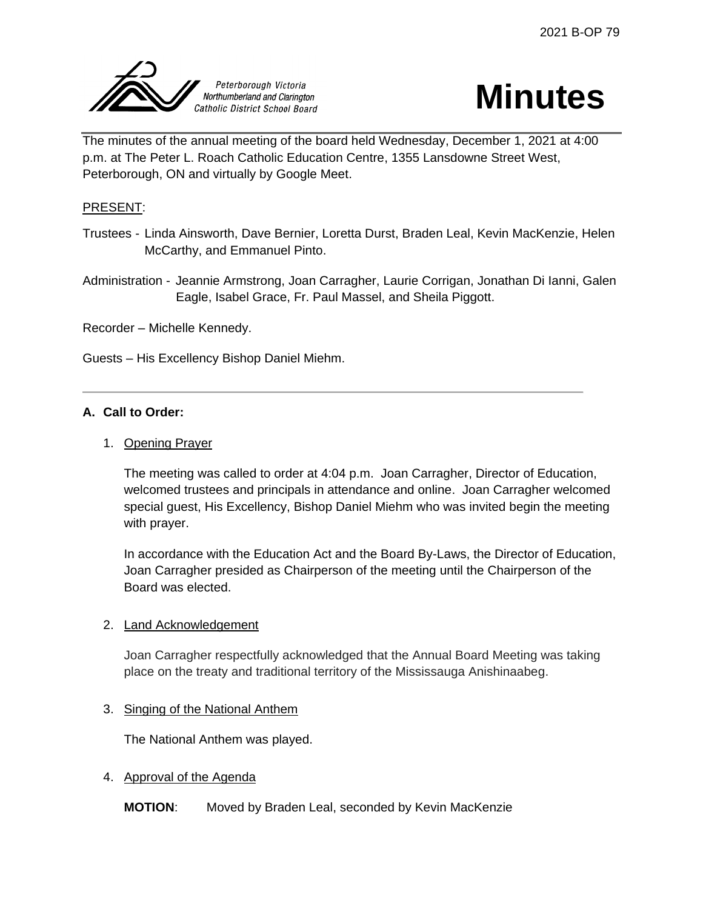



The minutes of the annual meeting of the board held Wednesday, December 1, 2021 at 4:00 p.m. at The Peter L. Roach Catholic Education Centre, 1355 Lansdowne Street West, Peterborough, ON and virtually by Google Meet.

## PRESENT:

Trustees - Linda Ainsworth, Dave Bernier, Loretta Durst, Braden Leal, Kevin MacKenzie, Helen McCarthy, and Emmanuel Pinto.

Administration - Jeannie Armstrong, Joan Carragher, Laurie Corrigan, Jonathan Di Ianni, Galen Eagle, Isabel Grace, Fr. Paul Massel, and Sheila Piggott.

Recorder – Michelle Kennedy.

Guests – His Excellency Bishop Daniel Miehm.

### **A. Call to Order:**

### 1. Opening Prayer

The meeting was called to order at 4:04 p.m. Joan Carragher, Director of Education, welcomed trustees and principals in attendance and online. Joan Carragher welcomed special guest, His Excellency, Bishop Daniel Miehm who was invited begin the meeting with prayer.

In accordance with the Education Act and the Board By-Laws, the Director of Education, Joan Carragher presided as Chairperson of the meeting until the Chairperson of the Board was elected.

### 2. Land Acknowledgement

Joan Carragher respectfully acknowledged that the Annual Board Meeting was taking place on the treaty and traditional territory of the Mississauga Anishinaabeg.

### 3. Singing of the National Anthem

The National Anthem was played.

### 4. Approval of the Agenda

**MOTION**: Moved by Braden Leal, seconded by Kevin MacKenzie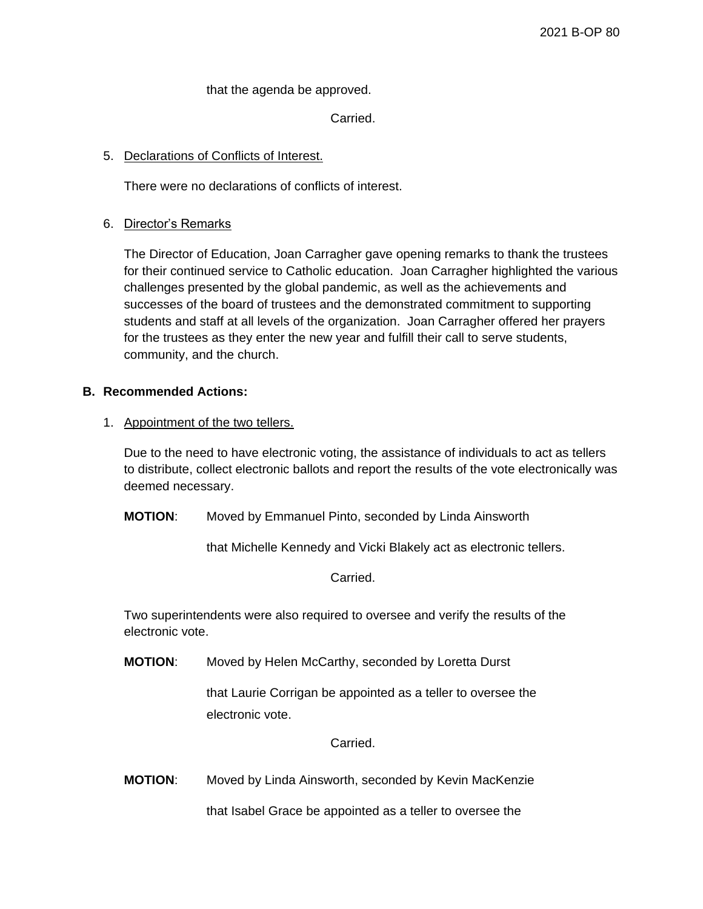that the agenda be approved.

Carried.

## 5. Declarations of Conflicts of Interest.

There were no declarations of conflicts of interest.

### 6. Director's Remarks

The Director of Education, Joan Carragher gave opening remarks to thank the trustees for their continued service to Catholic education. Joan Carragher highlighted the various challenges presented by the global pandemic, as well as the achievements and successes of the board of trustees and the demonstrated commitment to supporting students and staff at all levels of the organization. Joan Carragher offered her prayers for the trustees as they enter the new year and fulfill their call to serve students, community, and the church.

### **B. Recommended Actions:**

### 1. Appointment of the two tellers.

Due to the need to have electronic voting, the assistance of individuals to act as tellers to distribute, collect electronic ballots and report the results of the vote electronically was deemed necessary.

**MOTION**: Moved by Emmanuel Pinto, seconded by Linda Ainsworth

that Michelle Kennedy and Vicki Blakely act as electronic tellers.

Carried.

Two superintendents were also required to oversee and verify the results of the electronic vote.

**MOTION**: Moved by Helen McCarthy, seconded by Loretta Durst

that Laurie Corrigan be appointed as a teller to oversee the electronic vote.

Carried.

**MOTION**: Moved by Linda Ainsworth, seconded by Kevin MacKenzie

that Isabel Grace be appointed as a teller to oversee the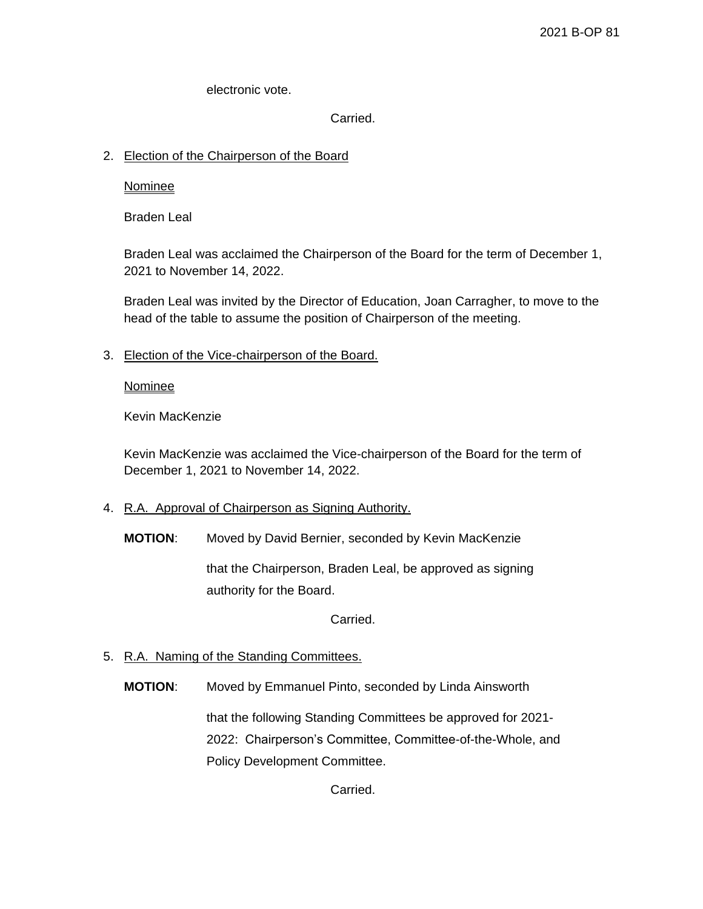electronic vote.

Carried.

## 2. Election of the Chairperson of the Board

Nominee

Braden Leal

Braden Leal was acclaimed the Chairperson of the Board for the term of December 1, 2021 to November 14, 2022.

Braden Leal was invited by the Director of Education, Joan Carragher, to move to the head of the table to assume the position of Chairperson of the meeting.

3. Election of the Vice-chairperson of the Board.

**Nominee** 

Kevin MacKenzie

Kevin MacKenzie was acclaimed the Vice-chairperson of the Board for the term of December 1, 2021 to November 14, 2022.

- 4. R.A. Approval of Chairperson as Signing Authority.
	- **MOTION**: Moved by David Bernier, seconded by Kevin MacKenzie

that the Chairperson, Braden Leal, be approved as signing authority for the Board.

Carried.

## 5. R.A. Naming of the Standing Committees.

**MOTION**: Moved by Emmanuel Pinto, seconded by Linda Ainsworth

that the following Standing Committees be approved for 2021- 2022: Chairperson's Committee, Committee-of-the-Whole, and Policy Development Committee.

Carried.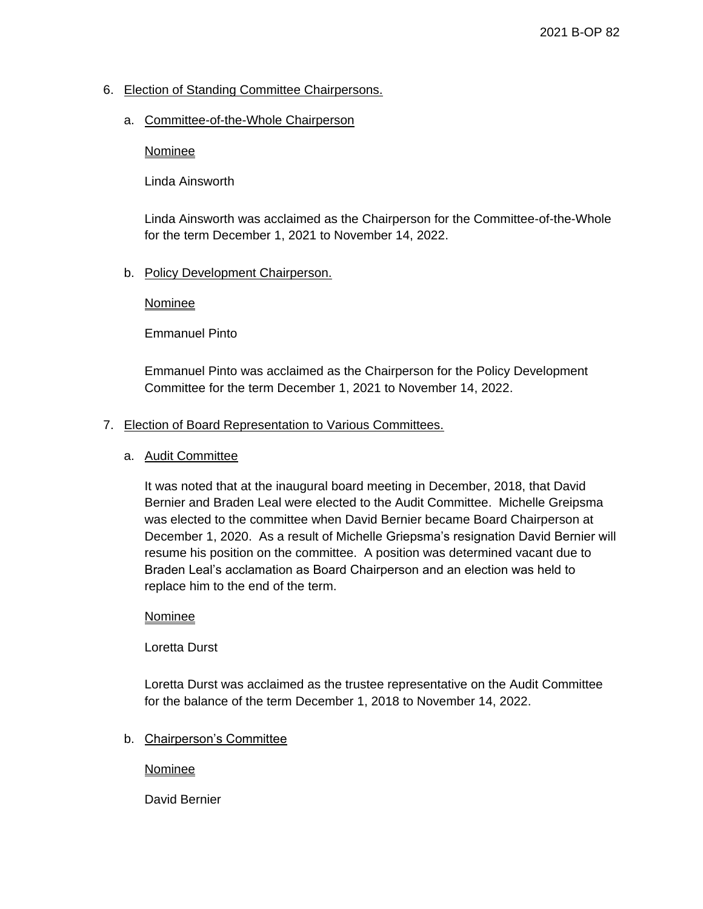## 6. Election of Standing Committee Chairpersons.

### a. Committee-of-the-Whole Chairperson

### **Nominee**

Linda Ainsworth

Linda Ainsworth was acclaimed as the Chairperson for the Committee-of-the-Whole for the term December 1, 2021 to November 14, 2022.

### b. Policy Development Chairperson.

### **Nominee**

Emmanuel Pinto

Emmanuel Pinto was acclaimed as the Chairperson for the Policy Development Committee for the term December 1, 2021 to November 14, 2022.

### 7. Election of Board Representation to Various Committees.

### a. Audit Committee

It was noted that at the inaugural board meeting in December, 2018, that David Bernier and Braden Leal were elected to the Audit Committee. Michelle Greipsma was elected to the committee when David Bernier became Board Chairperson at December 1, 2020. As a result of Michelle Griepsma's resignation David Bernier will resume his position on the committee. A position was determined vacant due to Braden Leal's acclamation as Board Chairperson and an election was held to replace him to the end of the term.

### **Nominee**

Loretta Durst

Loretta Durst was acclaimed as the trustee representative on the Audit Committee for the balance of the term December 1, 2018 to November 14, 2022.

## b. Chairperson's Committee

### Nominee

David Bernier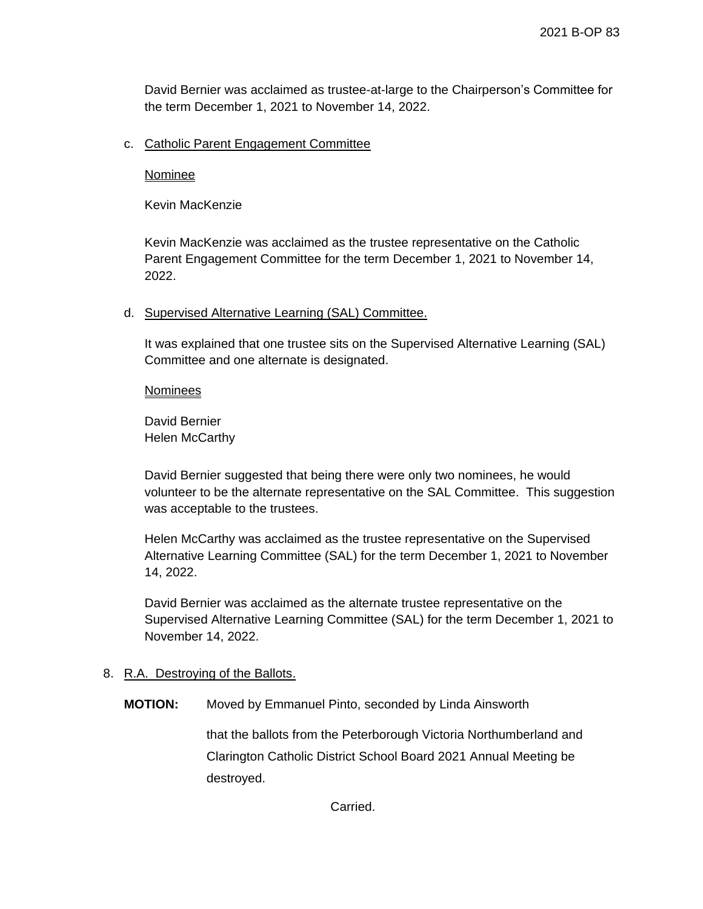David Bernier was acclaimed as trustee-at-large to the Chairperson's Committee for the term December 1, 2021 to November 14, 2022.

### c. Catholic Parent Engagement Committee

Nominee

Kevin MacKenzie

Kevin MacKenzie was acclaimed as the trustee representative on the Catholic Parent Engagement Committee for the term December 1, 2021 to November 14, 2022.

#### d. Supervised Alternative Learning (SAL) Committee.

It was explained that one trustee sits on the Supervised Alternative Learning (SAL) Committee and one alternate is designated.

**Nominees** 

David Bernier Helen McCarthy

David Bernier suggested that being there were only two nominees, he would volunteer to be the alternate representative on the SAL Committee. This suggestion was acceptable to the trustees.

Helen McCarthy was acclaimed as the trustee representative on the Supervised Alternative Learning Committee (SAL) for the term December 1, 2021 to November 14, 2022.

David Bernier was acclaimed as the alternate trustee representative on the Supervised Alternative Learning Committee (SAL) for the term December 1, 2021 to November 14, 2022.

### 8. R.A. Destroying of the Ballots.

**MOTION:** Moved by Emmanuel Pinto, seconded by Linda Ainsworth

that the ballots from the Peterborough Victoria Northumberland and Clarington Catholic District School Board 2021 Annual Meeting be destroyed.

Carried.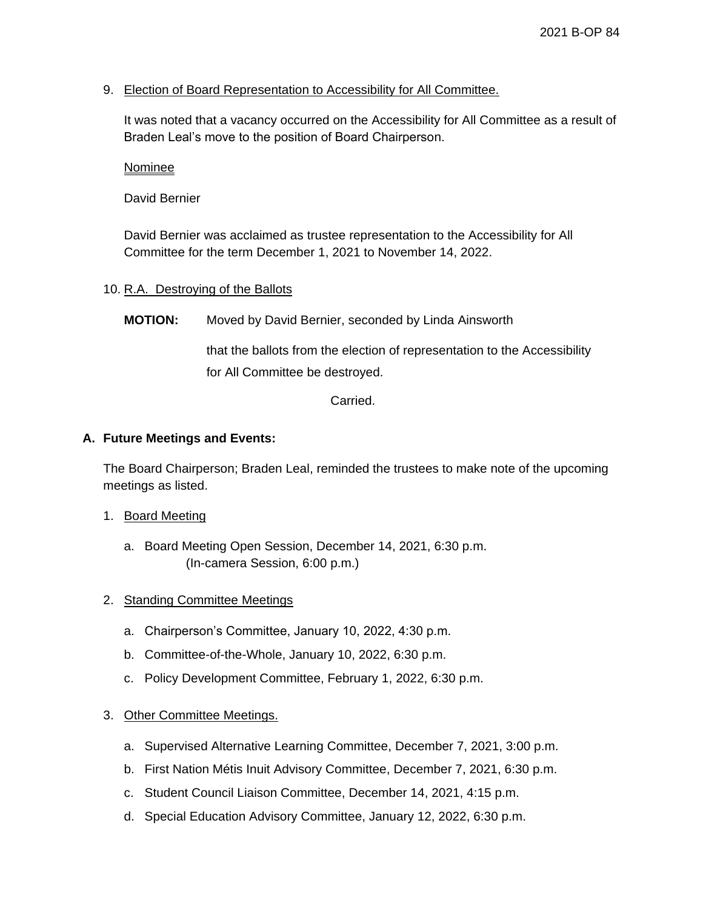## 9. Election of Board Representation to Accessibility for All Committee.

It was noted that a vacancy occurred on the Accessibility for All Committee as a result of Braden Leal's move to the position of Board Chairperson.

Nominee

David Bernier

David Bernier was acclaimed as trustee representation to the Accessibility for All Committee for the term December 1, 2021 to November 14, 2022.

### 10. R.A. Destroying of the Ballots

**MOTION:** Moved by David Bernier, seconded by Linda Ainsworth

that the ballots from the election of representation to the Accessibility for All Committee be destroyed.

Carried.

### **A. Future Meetings and Events:**

The Board Chairperson; Braden Leal, reminded the trustees to make note of the upcoming meetings as listed.

- 1. Board Meeting
	- a. Board Meeting Open Session, December 14, 2021, 6:30 p.m. (In-camera Session, 6:00 p.m.)
- 2. Standing Committee Meetings
	- a. Chairperson's Committee, January 10, 2022, 4:30 p.m.
	- b. Committee-of-the-Whole, January 10, 2022, 6:30 p.m.
	- c. Policy Development Committee, February 1, 2022, 6:30 p.m.

### 3. Other Committee Meetings.

- a. Supervised Alternative Learning Committee, December 7, 2021, 3:00 p.m.
- b. First Nation Métis Inuit Advisory Committee, December 7, 2021, 6:30 p.m.
- c. Student Council Liaison Committee, December 14, 2021, 4:15 p.m.
- d. Special Education Advisory Committee, January 12, 2022, 6:30 p.m.